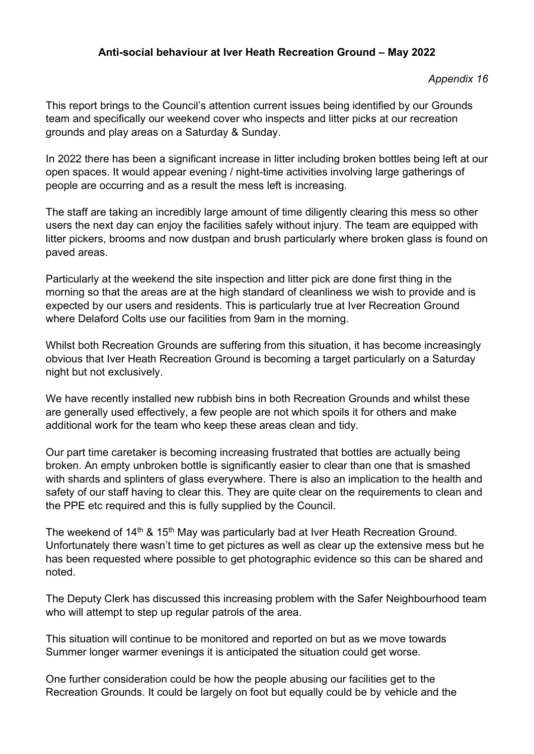## **Anti-social behaviour at Iver Heath Recreation Ground – May 2022**

*Appendix 16* 

This report brings to the Council's attention current issues being identified by our Grounds team and specifically our weekend cover who inspects and litter picks at our recreation grounds and play areas on a Saturday & Sunday.

In 2022 there has been a significant increase in litter including broken bottles being left at our open spaces. It would appear evening / night-time activities involving large gatherings of people are occurring and as a result the mess left is increasing.

The staff are taking an incredibly large amount of time diligently clearing this mess so other users the next day can enjoy the facilities safely without injury. The team are equipped with litter pickers, brooms and now dustpan and brush particularly where broken glass is found on paved areas.

Particularly at the weekend the site inspection and litter pick are done first thing in the morning so that the areas are at the high standard of cleanliness we wish to provide and is expected by our users and residents. This is particularly true at Iver Recreation Ground where Delaford Colts use our facilities from 9am in the morning.

Whilst both Recreation Grounds are suffering from this situation, it has become increasingly obvious that Iver Heath Recreation Ground is becoming a target particularly on a Saturday night but not exclusively.

We have recently installed new rubbish bins in both Recreation Grounds and whilst these are generally used effectively, a few people are not which spoils it for others and make additional work for the team who keep these areas clean and tidy.

Our part time caretaker is becoming increasing frustrated that bottles are actually being broken. An empty unbroken bottle is significantly easier to clear than one that is smashed with shards and splinters of glass everywhere. There is also an implication to the health and safety of our staff having to clear this. They are quite clear on the requirements to clean and the PPE etc required and this is fully supplied by the Council.

The weekend of 14<sup>th</sup> & 15<sup>th</sup> May was particularly bad at Iver Heath Recreation Ground. Unfortunately there wasn't time to get pictures as well as clear up the extensive mess but he has been requested where possible to get photographic evidence so this can be shared and noted.

The Deputy Clerk has discussed this increasing problem with the Safer Neighbourhood team who will attempt to step up regular patrols of the area.

This situation will continue to be monitored and reported on but as we move towards Summer longer warmer evenings it is anticipated the situation could get worse.

One further consideration could be how the people abusing our facilities get to the Recreation Grounds. It could be largely on foot but equally could be by vehicle and the